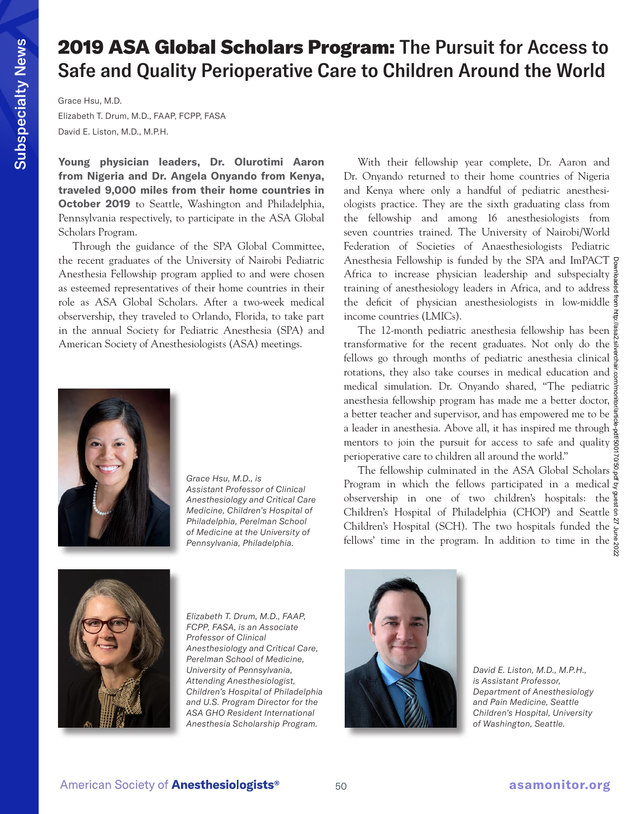## 2019 ASA Global Scholars Program: The Pursuit for Access to Safe and Quality Perioperative Care to Children Around the World

Grace Hsu, M.D.

Elizabeth T. Drum, M.D., FAAP, FCPP, FASA David E. Liston, M.D., M.P.H.

**Young physician leaders, Dr. Olurotimi Aaron from Nigeria and Dr. Angela Onyando from Kenya, traveled 9,000 miles from their home countries in October 2019** to Seattle, Washington and Philadelphia, Pennsylvania respectively, to participate in the ASA Global Scholars Program.

Through the guidance of the SPA Global Committee, the recent graduates of the University of Nairobi Pediatric Anesthesia Fellowship program applied to and were chosen as esteemed representatives of their home countries in their role as ASA Global Scholars. After a two-week medical observership, they traveled to Orlando, Florida, to take part in the annual Society for Pediatric Anesthesia (SPA) and American Society of Anesthesiologists (ASA) meetings.



*Grace Hsu, M.D., is Assistant Professor of Clinical Anesthesiology and Critical Care Medicine, Children's Hospital of Philadelphia, Perelman School of Medicine at the University of Pennsylvania, Philadelphia.*

With their fellowship year complete, Dr. Aaron and Dr. Onyando returned to their home countries of Nigeria and Kenya where only a handful of pediatric anesthesiologists practice. They are the sixth graduating class from the fellowship and among 16 anesthesiologists from seven countries trained. The University of Nairobi/World Federation of Societies of Anaesthesiologists Pediatric Anesthesia Fellowship is funded by the SPA and ImPACT Africa to increase physician leadership and subspecialty  $\frac{3}{5}$ training of anesthesiology leaders in Africa, and to address  $\frac{5}{2}$ the deficit of physician anesthesiologists in low-middle income countries (LMICs).

The 12-month pediatric anesthesia fellowship has been transformative for the recent graduates. Not only do the fellows go through months of pediatric anesthesia clinical rotations, they also take courses in medical education and  $\frac{1}{8}$ medical simulation. Dr. Onyando shared, "The pediatric anesthesia fellowship program has made me a better doctor,  $\frac{3}{6}$ a better teacher and supervisor, and has empowered me to be a leader in anesthesia. Above all, it has inspired me through  $\frac{3}{8}$ mentors to join the pursuit for access to safe and quality  $\frac{3}{9}$ perioperative care to children all around the world."

The fellowship culminated in the ASA Global Scholars  $\frac{3}{8}$ Program in which the fellows participated in a medical  $\frac{3}{5}$ observership in one of two children's hospitals: the Children's Hospital of Philadelphia (CHOP) and Seattle Children's Hospital (SCH). The two hospitals funded the  $\frac{N}{\epsilon}$ fellows' time in the program. In addition to time in the  $\frac{3}{8}$ 



*Elizabeth T. Drum, M.D., FAAP, FCPP, FASA, is an Associate Professor of Clinical Anesthesiology and Critical Care, Perelman School of Medicine, University of Pennsylvania, Attending Anesthesiologist, Children's Hospital of Philadelphia and U.S. Program Director for the ASA GHO Resident International Anesthesia Scholarship Program.*



*David E. Liston, M.D., M.P.H., is Assistant Professor, Department of Anesthesiology and Pain Medicine, Seattle Children's Hospital, University of Washington, Seattle.*